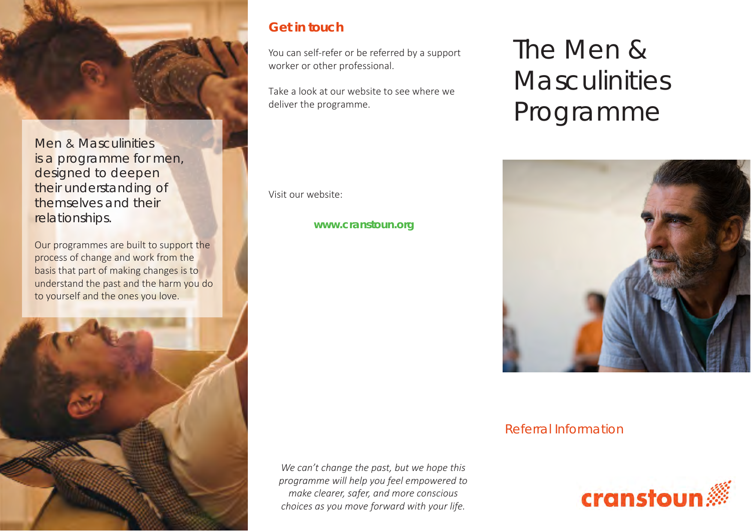

Men & Masculinities is a programme for men, designed to deepen their understanding of themselves and their relationships.

Our programmes are built to support the process of change and work from the basis that part of making changes is to understand the past and the harm you do to yourself and the ones you love.



## **Get in touch**

You can self-refer or be referred by a support worker or other professional.

Take a look at our website to see where we deliver the programme.

Visit our website:

**www.cranstoun.org**

## The Men & **Masculinities** Programme



Referral Information



*We can't change the past, but we hope this programme will help you feel empowered to make clearer, safer, and more conscious choices as you move forward with your life.*